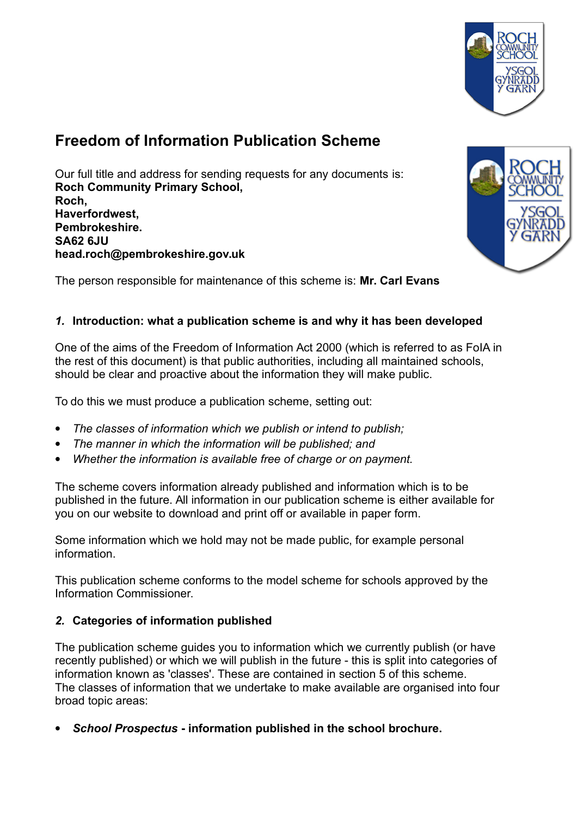

# **Freedom of Information Publication Scheme**

Our full title and address for sending requests for any documents is: **Roch Community Primary School, Roch, Haverfordwest, Pembrokeshire. SA62 6JU head.roch@pembrokeshire.gov.uk**



The person responsible for maintenance of this scheme is: **Mr. Carl Evans** 

# *1.* **Introduction: what a publication scheme is and why it has been developed**

One of the aims of the Freedom of Information Act 2000 (which is referred to as FoIA in the rest of this document) is that public authorities, including all maintained schools, should be clear and proactive about the information they will make public.

To do this we must produce a publication scheme, setting out:

- *The classes of information which we publish or intend to publish;*
- *The manner in which the information will be published; and*
- *Whether the information is available free of charge or on payment.*

The scheme covers information already published and information which is to be published in the future. All information in our publication scheme is either available for you on our website to download and print off or available in paper form.

Some information which we hold may not be made public, for example personal information.

This publication scheme conforms to the model scheme for schools approved by the Information Commissioner.

# *2.* **Categories of information published**

The publication scheme guides you to information which we currently publish (or have recently published) or which we will publish in the future - this is split into categories of information known as 'classes'. These are contained in section 5 of this scheme. The classes of information that we undertake to make available are organised into four broad topic areas:

*School Prospectus* **- information published in the school brochure.**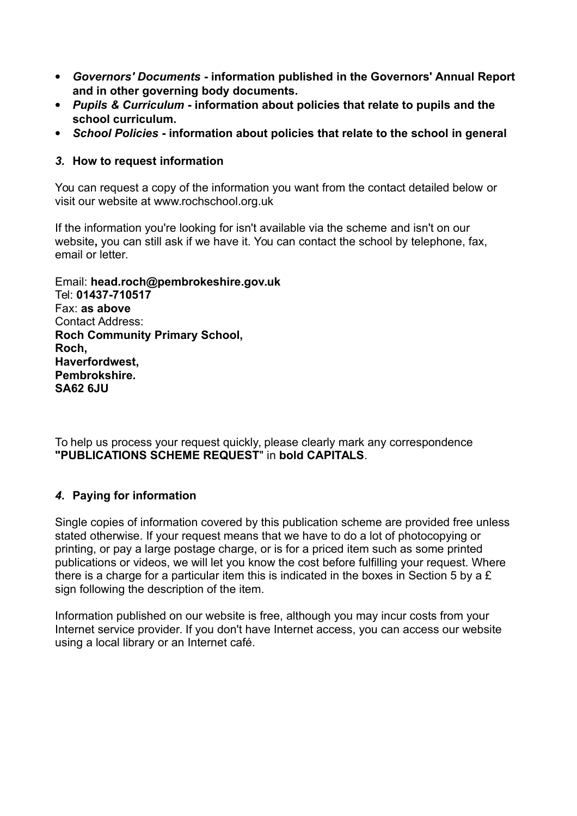- *Governors' Documents* **information published in the Governors' Annual Report and in other governing body documents.**
- *Pupils & Curriculum* **information about policies that relate to pupils and the school curriculum.**
- *School Policies* **information about policies that relate to the school in general**

### *3.* **How to request information**

You can request a copy of the information you want from the contact detailed below or visit our website at www.rochschool.org.uk

If the information you're looking for isn't available via the scheme and isn't on our website**,** you can still ask if we have it. You can contact the school by telephone, fax, email or letter.

Email: **head.roch@pembrokeshire.gov.uk** Tel: **01437-710517** Fax: **as above** Contact Address: **Roch Community Primary School, Roch, Haverfordwest, Pembrokshire. SA62 6JU**

To help us process your request quickly, please clearly mark any correspondence **"PUBLICATIONS SCHEME REQUEST**" in **bold CAPITALS**.

### *4.* **Paying for information**

Single copies of information covered by this publication scheme are provided free unless stated otherwise. If your request means that we have to do a lot of photocopying or printing, or pay a large postage charge, or is for a priced item such as some printed publications or videos, we will let you know the cost before fulfilling your request. Where there is a charge for a particular item this is indicated in the boxes in Section 5 by a £ sign following the description of the item.

Information published on our website is free, although you may incur costs from your Internet service provider. If you don't have Internet access, you can access our website using a local library or an Internet café.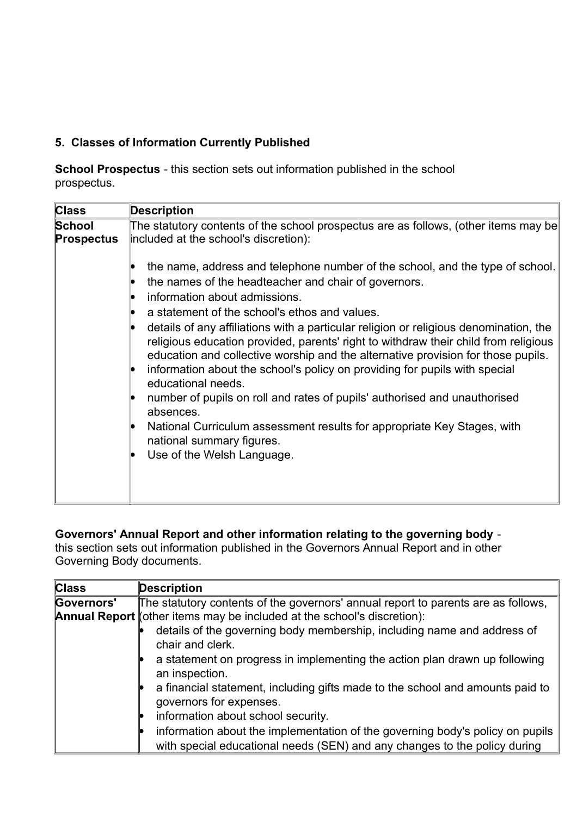# **5. Classes of Information Currently Published**

**School Prospectus** - this section sets out information published in the school prospectus.

| <b>Class</b>                | <b>Description</b>                                                                                                                                                                                                                                                                                                                                                                                                                                                                                                                                                                                                                                                                                                                                                                                                              |
|-----------------------------|---------------------------------------------------------------------------------------------------------------------------------------------------------------------------------------------------------------------------------------------------------------------------------------------------------------------------------------------------------------------------------------------------------------------------------------------------------------------------------------------------------------------------------------------------------------------------------------------------------------------------------------------------------------------------------------------------------------------------------------------------------------------------------------------------------------------------------|
| <b>School</b><br>Prospectus | The statutory contents of the school prospectus are as follows, (other items may be<br>included at the school's discretion):                                                                                                                                                                                                                                                                                                                                                                                                                                                                                                                                                                                                                                                                                                    |
|                             | the name, address and telephone number of the school, and the type of school.<br>the names of the headteacher and chair of governors.<br>information about admissions.<br>a statement of the school's ethos and values.<br>details of any affiliations with a particular religion or religious denomination, the<br>religious education provided, parents' right to withdraw their child from religious<br>education and collective worship and the alternative provision for those pupils.<br>information about the school's policy on providing for pupils with special<br>educational needs.<br>number of pupils on roll and rates of pupils' authorised and unauthorised<br>absences.<br>National Curriculum assessment results for appropriate Key Stages, with<br>national summary figures.<br>Use of the Welsh Language. |

### **Governors' Annual Report and other information relating to the governing body** -

this section sets out information published in the Governors Annual Report and in other Governing Body documents.

| <b>C</b>   | <b>Description</b>                                                                                                                                         |
|------------|------------------------------------------------------------------------------------------------------------------------------------------------------------|
| Governors' | The statutory contents of the governors' annual report to parents are as follows,                                                                          |
|            | <b>Annual Report</b> (other items may be included at the school's discretion):                                                                             |
|            | details of the governing body membership, including name and address of<br>chair and clerk.                                                                |
|            | a statement on progress in implementing the action plan drawn up following<br>an inspection.                                                               |
|            | a financial statement, including gifts made to the school and amounts paid to<br>governors for expenses.                                                   |
|            | information about school security.                                                                                                                         |
|            | information about the implementation of the governing body's policy on pupils<br>with special educational needs (SEN) and any changes to the policy during |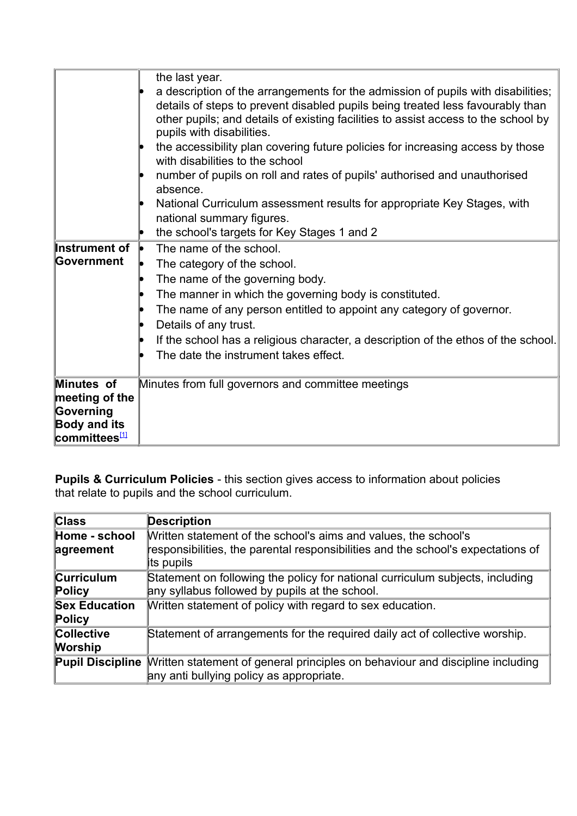| Instrument of<br><b>Government</b>                                                                      | the last year.<br>a description of the arrangements for the admission of pupils with disabilities;<br>details of steps to prevent disabled pupils being treated less favourably than<br>other pupils; and details of existing facilities to assist access to the school by<br>pupils with disabilities.<br>the accessibility plan covering future policies for increasing access by those<br>with disabilities to the school<br>number of pupils on roll and rates of pupils' authorised and unauthorised<br>absence.<br>National Curriculum assessment results for appropriate Key Stages, with<br>national summary figures.<br>the school's targets for Key Stages 1 and 2<br>The name of the school.<br>The category of the school.<br>The name of the governing body.<br>The manner in which the governing body is constituted.<br>The name of any person entitled to appoint any category of governor.<br>Details of any trust.<br>If the school has a religious character, a description of the ethos of the school.<br>The date the instrument takes effect. |
|---------------------------------------------------------------------------------------------------------|---------------------------------------------------------------------------------------------------------------------------------------------------------------------------------------------------------------------------------------------------------------------------------------------------------------------------------------------------------------------------------------------------------------------------------------------------------------------------------------------------------------------------------------------------------------------------------------------------------------------------------------------------------------------------------------------------------------------------------------------------------------------------------------------------------------------------------------------------------------------------------------------------------------------------------------------------------------------------------------------------------------------------------------------------------------------|
| Minutes of<br>meeting of the<br>Governing<br><b>Body and its</b><br><mark>committees<del></del>⊡</mark> | Minutes from full governors and committee meetings                                                                                                                                                                                                                                                                                                                                                                                                                                                                                                                                                                                                                                                                                                                                                                                                                                                                                                                                                                                                                  |

<span id="page-3-0"></span>**Pupils & Curriculum Policies** - this section gives access to information about policies that relate to pupils and the school curriculum.

| <b>Class</b>                   | <b>Description</b>                                                                                                                                                |
|--------------------------------|-------------------------------------------------------------------------------------------------------------------------------------------------------------------|
| Home - school<br>agreement     | Written statement of the school's aims and values, the school's<br>responsibilities, the parental responsibilities and the school's expectations of<br>its pupils |
| Curriculum<br>Policy           | Statement on following the policy for national curriculum subjects, including<br>any syllabus followed by pupils at the school.                                   |
| <b>Sex Education</b><br>Policy | Written statement of policy with regard to sex education.                                                                                                         |
| Collective<br>Worship          | Statement of arrangements for the required daily act of collective worship.                                                                                       |
|                                | <b>Pupil Discipline</b> Written statement of general principles on behaviour and discipline including<br>any anti bullying policy as appropriate.                 |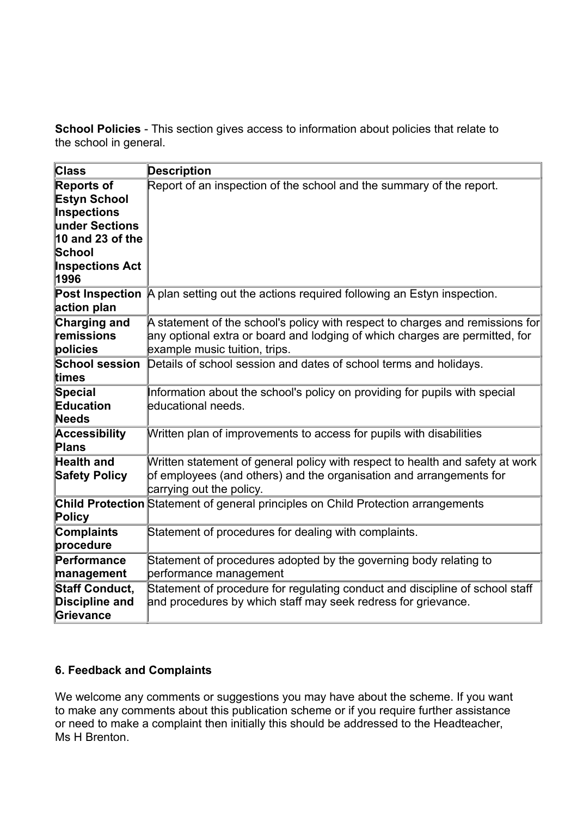**School Policies** - This section gives access to information about policies that relate to the school in general.

| Class                                                                                                                              | <b>Description</b>                                                                                                                                                                            |
|------------------------------------------------------------------------------------------------------------------------------------|-----------------------------------------------------------------------------------------------------------------------------------------------------------------------------------------------|
| Reports of<br>Estyn School<br>Inspections<br>under Sections<br>10 and 23 of the<br><b>School</b><br><b>Inspections Act</b><br>1996 | Report of an inspection of the school and the summary of the report.                                                                                                                          |
| <b>Post Inspection</b><br>action plan                                                                                              | A plan setting out the actions required following an Estyn inspection.                                                                                                                        |
| Charging and<br>remissions<br>policies                                                                                             | A statement of the school's policy with respect to charges and remissions for<br>any optional extra or board and lodging of which charges are permitted, for<br>example music tuition, trips. |
| <b>School session</b><br>ltimes                                                                                                    | Details of school session and dates of school terms and holidays.                                                                                                                             |
| Special<br>Education<br>Needs                                                                                                      | Information about the school's policy on providing for pupils with special<br>educational needs.                                                                                              |
| Accessibility<br>Plans                                                                                                             | Written plan of improvements to access for pupils with disabilities                                                                                                                           |
| <b>Health and</b><br><b>Safety Policy</b>                                                                                          | Written statement of general policy with respect to health and safety at work<br>of employees (and others) and the organisation and arrangements for<br>carrying out the policy.              |
| Policy                                                                                                                             | <b>Child Protection</b> Statement of general principles on Child Protection arrangements                                                                                                      |
| Complaints<br>procedure                                                                                                            | Statement of procedures for dealing with complaints.                                                                                                                                          |
| Performance<br>management                                                                                                          | Statement of procedures adopted by the governing body relating to<br>performance management                                                                                                   |
| <b>Staff Conduct,</b><br>Discipline and<br>Grievance                                                                               | Statement of procedure for regulating conduct and discipline of school staff<br>and procedures by which staff may seek redress for grievance.                                                 |

# **6. Feedback and Complaints**

We welcome any comments or suggestions you may have about the scheme. If you want to make any comments about this publication scheme or if you require further assistance or need to make a complaint then initially this should be addressed to the Headteacher, Ms H Brenton.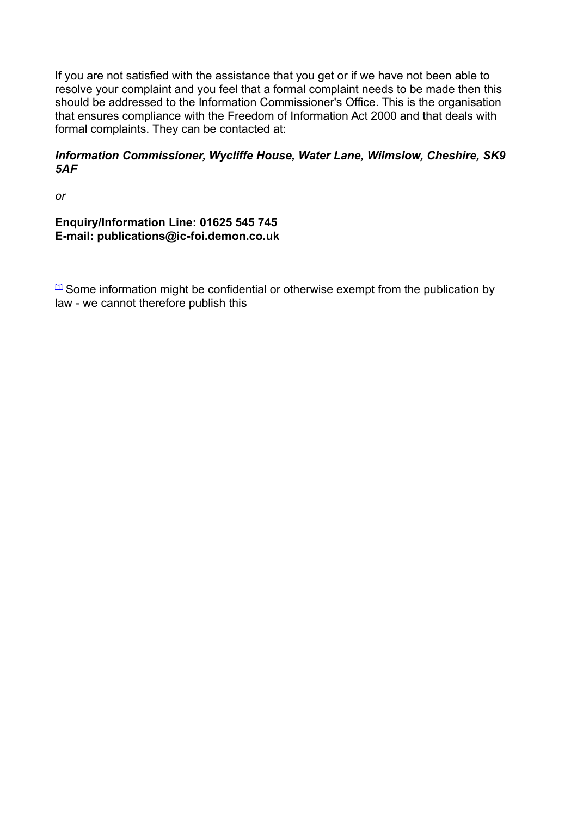If you are not satisfied with the assistance that you get or if we have not been able to resolve your complaint and you feel that a formal complaint needs to be made then this should be addressed to the Information Commissioner's Office. This is the organisation that ensures compliance with the Freedom of Information Act 2000 and that deals with formal complaints. They can be contacted at:

#### *Information Commissioner, Wycliffe House, Water Lane, Wilmslow, Cheshire, SK9 5AF*

*or*

**Enquiry/Information Line: 01625 545 745 E-mail: publications@ic-foi.demon.co.uk**

<span id="page-5-0"></span> $[1]$  Some information might be confidential or otherwise exempt from the publication by law - we cannot therefore publish this